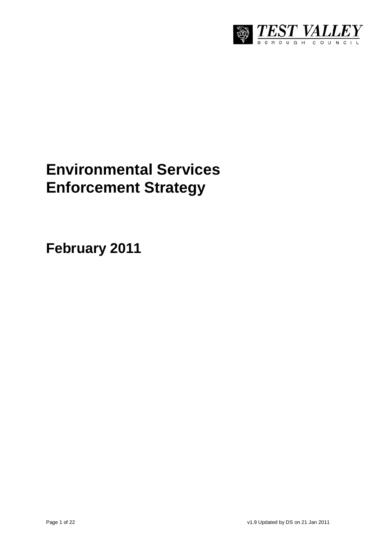

# **Environmental Services Enforcement Strategy**

**February 2011**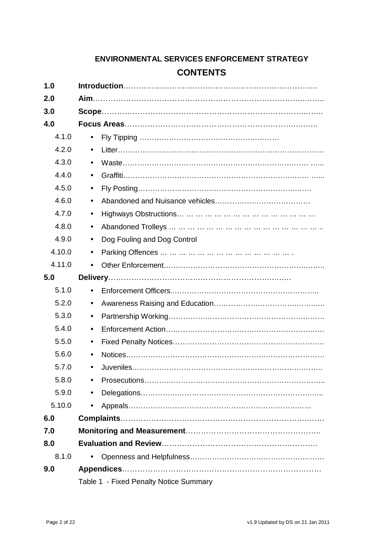# **ENVIRONMENTAL SERVICES ENFORCEMENT STRATEGY CONTENTS**

| 1.0    |                                        |  |  |  |
|--------|----------------------------------------|--|--|--|
| 2.0    |                                        |  |  |  |
| 3.0    |                                        |  |  |  |
| 4.0    |                                        |  |  |  |
| 4.1.0  | $\bullet$                              |  |  |  |
| 4.2.0  |                                        |  |  |  |
| 4.3.0  |                                        |  |  |  |
| 4.4.0  |                                        |  |  |  |
| 4.5.0  | $\bullet$                              |  |  |  |
| 4.6.0  |                                        |  |  |  |
| 4.7.0  |                                        |  |  |  |
| 4.8.0  | $\bullet$                              |  |  |  |
| 4.9.0  | Dog Fouling and Dog Control            |  |  |  |
| 4.10.0 |                                        |  |  |  |
| 4.11.0 |                                        |  |  |  |
| 5.0    |                                        |  |  |  |
| 5.1.0  |                                        |  |  |  |
| 5.2.0  | $\bullet$                              |  |  |  |
| 5.3.0  |                                        |  |  |  |
| 5.4.0  |                                        |  |  |  |
| 5.5.0  |                                        |  |  |  |
| 5.6.0  |                                        |  |  |  |
| 5.7.0  |                                        |  |  |  |
| 5.8.0  |                                        |  |  |  |
| 5.9.0  | $\bullet$                              |  |  |  |
| 5.10.0 |                                        |  |  |  |
| 6.0    |                                        |  |  |  |
| 7.0    |                                        |  |  |  |
| 8.0    |                                        |  |  |  |
| 8.1.0  |                                        |  |  |  |
| 9.0    |                                        |  |  |  |
|        | Table 1 - Fixed Penalty Notice Summary |  |  |  |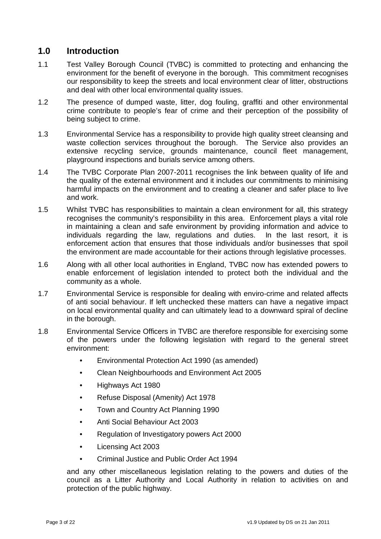## **1.0 Introduction**

- 1.1 Test Valley Borough Council (TVBC) is committed to protecting and enhancing the environment for the benefit of everyone in the borough. This commitment recognises our responsibility to keep the streets and local environment clear of litter, obstructions and deal with other local environmental quality issues.
- 1.2 The presence of dumped waste, litter, dog fouling, graffiti and other environmental crime contribute to people's fear of crime and their perception of the possibility of being subject to crime.
- 1.3 Environmental Service has a responsibility to provide high quality street cleansing and waste collection services throughout the borough. The Service also provides an extensive recycling service, grounds maintenance, council fleet management, playground inspections and burials service among others.
- 1.4 The TVBC Corporate Plan 2007-2011 recognises the link between quality of life and the quality of the external environment and it includes our commitments to minimising harmful impacts on the environment and to creating a cleaner and safer place to live and work.
- 1.5 Whilst TVBC has responsibilities to maintain a clean environment for all, this strategy recognises the community's responsibility in this area. Enforcement plays a vital role in maintaining a clean and safe environment by providing information and advice to individuals regarding the law, regulations and duties. In the last resort, it is enforcement action that ensures that those individuals and/or businesses that spoil the environment are made accountable for their actions through legislative processes.
- 1.6 Along with all other local authorities in England, TVBC now has extended powers to enable enforcement of legislation intended to protect both the individual and the community as a whole.
- 1.7 Environmental Service is responsible for dealing with enviro-crime and related affects of anti social behaviour. If left unchecked these matters can have a negative impact on local environmental quality and can ultimately lead to a downward spiral of decline in the borough.
- 1.8 Environmental Service Officers in TVBC are therefore responsible for exercising some of the powers under the following legislation with regard to the general street environment:
	- Environmental Protection Act 1990 (as amended)
	- Clean Neighbourhoods and Environment Act 2005
	- Highways Act 1980
	- Refuse Disposal (Amenity) Act 1978
	- Town and Country Act Planning 1990
	- Anti Social Behaviour Act 2003
	- Regulation of Investigatory powers Act 2000
	- Licensing Act 2003
	- Criminal Justice and Public Order Act 1994

and any other miscellaneous legislation relating to the powers and duties of the council as a Litter Authority and Local Authority in relation to activities on and protection of the public highway.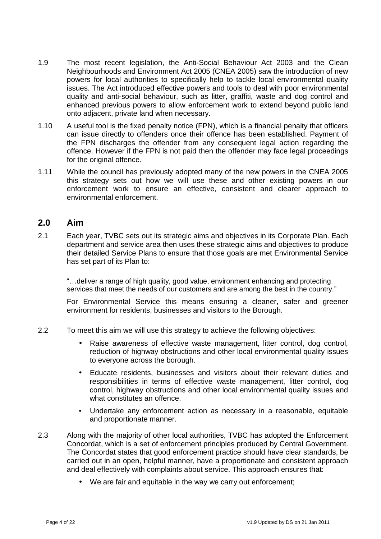- 1.9 The most recent legislation, the Anti-Social Behaviour Act 2003 and the Clean Neighbourhoods and Environment Act 2005 (CNEA 2005) saw the introduction of new powers for local authorities to specifically help to tackle local environmental quality issues. The Act introduced effective powers and tools to deal with poor environmental quality and anti-social behaviour, such as litter, graffiti, waste and dog control and enhanced previous powers to allow enforcement work to extend beyond public land onto adjacent, private land when necessary.
- 1.10 A useful tool is the fixed penalty notice (FPN), which is a financial penalty that officers can issue directly to offenders once their offence has been established. Payment of the FPN discharges the offender from any consequent legal action regarding the offence. However if the FPN is not paid then the offender may face legal proceedings for the original offence.
- 1.11 While the council has previously adopted many of the new powers in the CNEA 2005 this strategy sets out how we will use these and other existing powers in our enforcement work to ensure an effective, consistent and clearer approach to environmental enforcement.

#### **2.0 Aim**

2.1 Each year, TVBC sets out its strategic aims and objectives in its Corporate Plan. Each department and service area then uses these strategic aims and objectives to produce their detailed Service Plans to ensure that those goals are met Environmental Service has set part of its Plan to:

"…deliver a range of high quality, good value, environment enhancing and protecting services that meet the needs of our customers and are among the best in the country."

For Environmental Service this means ensuring a cleaner, safer and greener environment for residents, businesses and visitors to the Borough.

- 2.2 To meet this aim we will use this strategy to achieve the following objectives:
	- Raise awareness of effective waste management, litter control, dog control, reduction of highway obstructions and other local environmental quality issues to everyone across the borough.
	- Educate residents, businesses and visitors about their relevant duties and responsibilities in terms of effective waste management, litter control, dog control, highway obstructions and other local environmental quality issues and what constitutes an offence.
	- Undertake any enforcement action as necessary in a reasonable, equitable and proportionate manner.
- 2.3 Along with the majority of other local authorities, TVBC has adopted the Enforcement Concordat, which is a set of enforcement principles produced by Central Government. The Concordat states that good enforcement practice should have clear standards, be carried out in an open, helpful manner, have a proportionate and consistent approach and deal effectively with complaints about service. This approach ensures that:
	- We are fair and equitable in the way we carry out enforcement;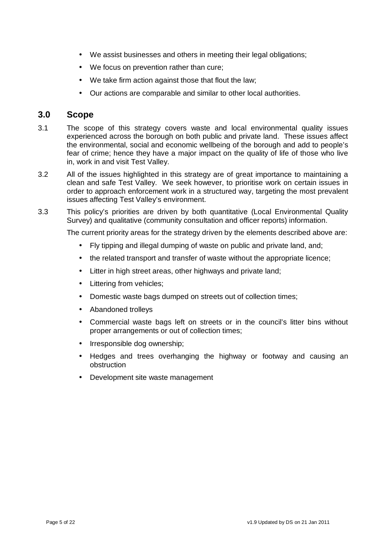- We assist businesses and others in meeting their legal obligations:
- We focus on prevention rather than cure;
- We take firm action against those that flout the law;
- Our actions are comparable and similar to other local authorities.

#### **3.0 Scope**

- 3.1 The scope of this strategy covers waste and local environmental quality issues experienced across the borough on both public and private land. These issues affect the environmental, social and economic wellbeing of the borough and add to people's fear of crime; hence they have a major impact on the quality of life of those who live in, work in and visit Test Valley.
- 3.2 All of the issues highlighted in this strategy are of great importance to maintaining a clean and safe Test Valley. We seek however, to prioritise work on certain issues in order to approach enforcement work in a structured way, targeting the most prevalent issues affecting Test Valley's environment.
- 3.3 This policy's priorities are driven by both quantitative (Local Environmental Quality Survey) and qualitative (community consultation and officer reports) information.

The current priority areas for the strategy driven by the elements described above are:

- Fly tipping and illegal dumping of waste on public and private land, and;
- the related transport and transfer of waste without the appropriate licence;
- Litter in high street areas, other highways and private land;
- Littering from vehicles;
- Domestic waste bags dumped on streets out of collection times;
- Abandoned trolleys
- Commercial waste bags left on streets or in the council's litter bins without proper arrangements or out of collection times;
- Irresponsible dog ownership;
- Hedges and trees overhanging the highway or footway and causing an obstruction
- Development site waste management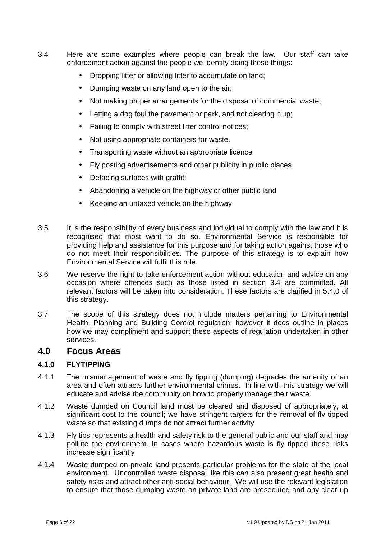- 3.4 Here are some examples where people can break the law. Our staff can take enforcement action against the people we identify doing these things:
	- Dropping litter or allowing litter to accumulate on land;
	- Dumping waste on any land open to the air;
	- Not making proper arrangements for the disposal of commercial waste;
	- Letting a dog foul the pavement or park, and not clearing it up;
	- Failing to comply with street litter control notices;
	- Not using appropriate containers for waste.
	- Transporting waste without an appropriate licence
	- Fly posting advertisements and other publicity in public places
	- Defacing surfaces with graffiti
	- Abandoning a vehicle on the highway or other public land
	- Keeping an untaxed vehicle on the highway
- 3.5 It is the responsibility of every business and individual to comply with the law and it is recognised that most want to do so. Environmental Service is responsible for providing help and assistance for this purpose and for taking action against those who do not meet their responsibilities. The purpose of this strategy is to explain how Environmental Service will fulfil this role.
- 3.6 We reserve the right to take enforcement action without education and advice on any occasion where offences such as those listed in section 3.4 are committed. All relevant factors will be taken into consideration. These factors are clarified in 5.4.0 of this strategy.
- 3.7 The scope of this strategy does not include matters pertaining to Environmental Health, Planning and Building Control regulation; however it does outline in places how we may compliment and support these aspects of regulation undertaken in other services.

#### **4.0 Focus Areas**

#### **4.1.0 FLYTIPPING**

- 4.1.1 The mismanagement of waste and fly tipping (dumping) degrades the amenity of an area and often attracts further environmental crimes. In line with this strategy we will educate and advise the community on how to properly manage their waste.
- 4.1.2 Waste dumped on Council land must be cleared and disposed of appropriately, at significant cost to the council; we have stringent targets for the removal of fly tipped waste so that existing dumps do not attract further activity.
- 4.1.3 Fly tips represents a health and safety risk to the general public and our staff and may pollute the environment. In cases where hazardous waste is fly tipped these risks increase significantly
- 4.1.4 Waste dumped on private land presents particular problems for the state of the local environment. Uncontrolled waste disposal like this can also present great health and safety risks and attract other anti-social behaviour. We will use the relevant legislation to ensure that those dumping waste on private land are prosecuted and any clear up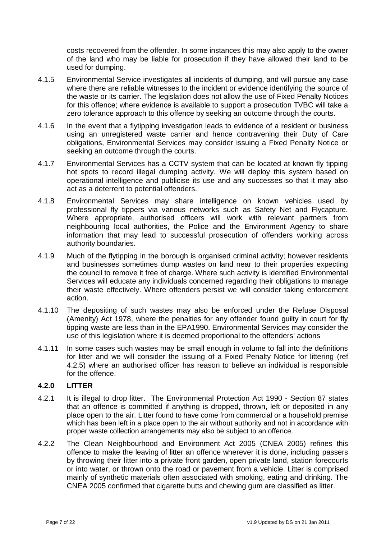costs recovered from the offender. In some instances this may also apply to the owner of the land who may be liable for prosecution if they have allowed their land to be used for dumping.

- 4.1.5 Environmental Service investigates all incidents of dumping, and will pursue any case where there are reliable witnesses to the incident or evidence identifying the source of the waste or its carrier. The legislation does not allow the use of Fixed Penalty Notices for this offence; where evidence is available to support a prosecution TVBC will take a zero tolerance approach to this offence by seeking an outcome through the courts.
- 4.1.6 In the event that a flytipping investigation leads to evidence of a resident or business using an unregistered waste carrier and hence contravening their Duty of Care obligations, Environmental Services may consider issuing a Fixed Penalty Notice or seeking an outcome through the courts.
- 4.1.7 Environmental Services has a CCTV system that can be located at known fly tipping hot spots to record illegal dumping activity. We will deploy this system based on operational intelligence and publicise its use and any successes so that it may also act as a deterrent to potential offenders.
- 4.1.8 Environmental Services may share intelligence on known vehicles used by professional fly tippers via various networks such as Safety Net and Flycapture. Where appropriate, authorised officers will work with relevant partners from neighbouring local authorities, the Police and the Environment Agency to share information that may lead to successful prosecution of offenders working across authority boundaries.
- 4.1.9 Much of the flytipping in the borough is organised criminal activity; however residents and businesses sometimes dump wastes on land near to their properties expecting the council to remove it free of charge. Where such activity is identified Environmental Services will educate any individuals concerned regarding their obligations to manage their waste effectively. Where offenders persist we will consider taking enforcement action.
- 4.1.10 The depositing of such wastes may also be enforced under the Refuse Disposal (Amenity) Act 1978, where the penalties for any offender found guilty in court for fly tipping waste are less than in the EPA1990. Environmental Services may consider the use of this legislation where it is deemed proportional to the offenders' actions
- 4.1.11 In some cases such wastes may be small enough in volume to fall into the definitions for litter and we will consider the issuing of a Fixed Penalty Notice for littering (ref 4.2.5) where an authorised officer has reason to believe an individual is responsible for the offence.

#### **4.2.0 LITTER**

- 4.2.1 It is illegal to drop litter. The Environmental Protection Act 1990 Section 87 states that an offence is committed if anything is dropped, thrown, left or deposited in any place open to the air. Litter found to have come from commercial or a household premise which has been left in a place open to the air without authority and not in accordance with proper waste collection arrangements may also be subject to an offence.
- 4.2.2 The Clean Neighbourhood and Environment Act 2005 (CNEA 2005) refines this offence to make the leaving of litter an offence wherever it is done, including passers by throwing their litter into a private front garden, open private land, station forecourts or into water, or thrown onto the road or pavement from a vehicle. Litter is comprised mainly of synthetic materials often associated with smoking, eating and drinking. The CNEA 2005 confirmed that cigarette butts and chewing gum are classified as litter.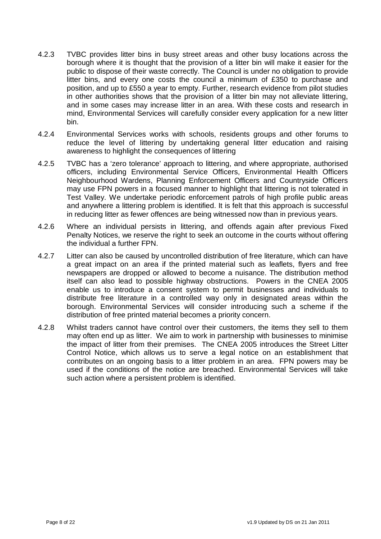- 4.2.3 TVBC provides litter bins in busy street areas and other busy locations across the borough where it is thought that the provision of a litter bin will make it easier for the public to dispose of their waste correctly. The Council is under no obligation to provide litter bins, and every one costs the council a minimum of £350 to purchase and position, and up to £550 a year to empty. Further, research evidence from pilot studies in other authorities shows that the provision of a litter bin may not alleviate littering, and in some cases may increase litter in an area. With these costs and research in mind, Environmental Services will carefully consider every application for a new litter bin.
- 4.2.4 Environmental Services works with schools, residents groups and other forums to reduce the level of littering by undertaking general litter education and raising awareness to highlight the consequences of littering
- 4.2.5 TVBC has a 'zero tolerance' approach to littering, and where appropriate, authorised officers, including Environmental Service Officers, Environmental Health Officers Neighbourhood Wardens, Planning Enforcement Officers and Countryside Officers may use FPN powers in a focused manner to highlight that littering is not tolerated in Test Valley. We undertake periodic enforcement patrols of high profile public areas and anywhere a littering problem is identified. It is felt that this approach is successful in reducing litter as fewer offences are being witnessed now than in previous years.
- 4.2.6 Where an individual persists in littering, and offends again after previous Fixed Penalty Notices, we reserve the right to seek an outcome in the courts without offering the individual a further FPN.
- 4.2.7 Litter can also be caused by uncontrolled distribution of free literature, which can have a great impact on an area if the printed material such as leaflets, flyers and free newspapers are dropped or allowed to become a nuisance. The distribution method itself can also lead to possible highway obstructions. Powers in the CNEA 2005 enable us to introduce a consent system to permit businesses and individuals to distribute free literature in a controlled way only in designated areas within the borough. Environmental Services will consider introducing such a scheme if the distribution of free printed material becomes a priority concern.
- 4.2.8 Whilst traders cannot have control over their customers, the items they sell to them may often end up as litter. We aim to work in partnership with businesses to minimise the impact of litter from their premises. The CNEA 2005 introduces the Street Litter Control Notice, which allows us to serve a legal notice on an establishment that contributes on an ongoing basis to a litter problem in an area. FPN powers may be used if the conditions of the notice are breached. Environmental Services will take such action where a persistent problem is identified.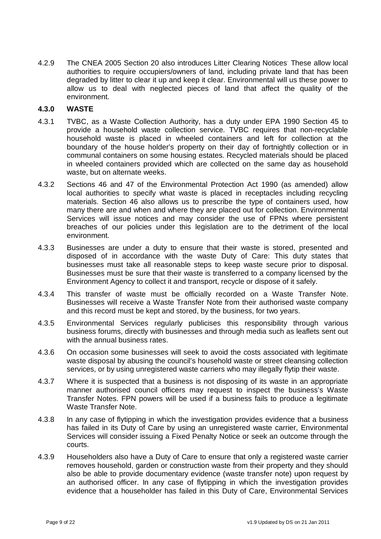4.2.9 The CNEA 2005 Section 20 also introduces Litter Clearing Notices These allow local authorities to require occupiers/owners of land, including private land that has been degraded by litter to clear it up and keep it clear. Environmental will us these power to allow us to deal with neglected pieces of land that affect the quality of the environment.

#### **4.3.0 WASTE**

- 4.3.1 TVBC, as a Waste Collection Authority, has a duty under EPA 1990 Section 45 to provide a household waste collection service. TVBC requires that non-recyclable household waste is placed in wheeled containers and left for collection at the boundary of the house holder's property on their day of fortnightly collection or in communal containers on some housing estates. Recycled materials should be placed in wheeled containers provided which are collected on the same day as household waste, but on alternate weeks.
- 4.3.2 Sections 46 and 47 of the Environmental Protection Act 1990 (as amended) allow local authorities to specify what waste is placed in receptacles including recycling materials. Section 46 also allows us to prescribe the type of containers used, how many there are and when and where they are placed out for collection. Environmental Services will issue notices and may consider the use of FPNs where persistent breaches of our policies under this legislation are to the detriment of the local environment.
- 4.3.3 Businesses are under a duty to ensure that their waste is stored, presented and disposed of in accordance with the waste Duty of Care: This duty states that businesses must take all reasonable steps to keep waste secure prior to disposal. Businesses must be sure that their waste is transferred to a company licensed by the Environment Agency to collect it and transport, recycle or dispose of it safely.
- 4.3.4 This transfer of waste must be officially recorded on a Waste Transfer Note. Businesses will receive a Waste Transfer Note from their authorised waste company and this record must be kept and stored, by the business, for two years.
- 4.3.5 Environmental Services regularly publicises this responsibility through various business forums, directly with businesses and through media such as leaflets sent out with the annual business rates.
- 4.3.6 On occasion some businesses will seek to avoid the costs associated with legitimate waste disposal by abusing the council's household waste or street cleansing collection services, or by using unregistered waste carriers who may illegally flytip their waste.
- 4.3.7 Where it is suspected that a business is not disposing of its waste in an appropriate manner authorised council officers may request to inspect the business's Waste Transfer Notes. FPN powers will be used if a business fails to produce a legitimate Waste Transfer Note.
- 4.3.8 In any case of flytipping in which the investigation provides evidence that a business has failed in its Duty of Care by using an unregistered waste carrier, Environmental Services will consider issuing a Fixed Penalty Notice or seek an outcome through the courts.
- 4.3.9 Householders also have a Duty of Care to ensure that only a registered waste carrier removes household, garden or construction waste from their property and they should also be able to provide documentary evidence (waste transfer note) upon request by an authorised officer. In any case of flytipping in which the investigation provides evidence that a householder has failed in this Duty of Care, Environmental Services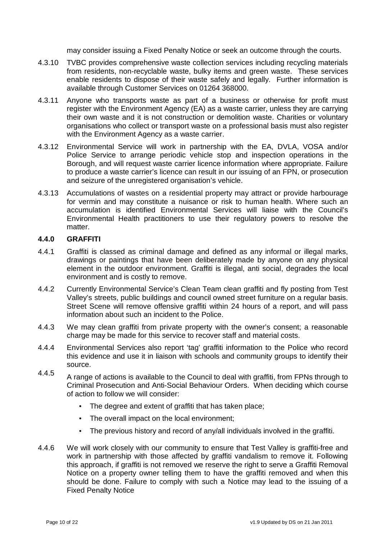may consider issuing a Fixed Penalty Notice or seek an outcome through the courts.

- 4.3.10 TVBC provides comprehensive waste collection services including recycling materials from residents, non-recyclable waste, bulky items and green waste. These services enable residents to dispose of their waste safely and legally. Further information is available through Customer Services on 01264 368000.
- 4.3.11 Anyone who transports waste as part of a business or otherwise for profit must register with the Environment Agency (EA) as a waste carrier, unless they are carrying their own waste and it is not construction or demolition waste. Charities or voluntary organisations who collect or transport waste on a professional basis must also register with the Environment Agency as a waste carrier.
- 4.3.12 Environmental Service will work in partnership with the EA, DVLA, VOSA and/or Police Service to arrange periodic vehicle stop and inspection operations in the Borough, and will request waste carrier licence information where appropriate. Failure to produce a waste carrier's licence can result in our issuing of an FPN, or prosecution and seizure of the unregistered organisation's vehicle.
- 4.3.13 Accumulations of wastes on a residential property may attract or provide harbourage for vermin and may constitute a nuisance or risk to human health. Where such an accumulation is identified Environmental Services will liaise with the Council's Environmental Health practitioners to use their regulatory powers to resolve the matter.

#### **4.4.0 GRAFFITI**

- 4.4.1 Graffiti is classed as criminal damage and defined as any informal or illegal marks, drawings or paintings that have been deliberately made by anyone on any physical element in the outdoor environment. Graffiti is illegal, anti social, degrades the local environment and is costly to remove.
- 4.4.2 Currently Environmental Service's Clean Team clean graffiti and fly posting from Test Valley's streets, public buildings and council owned street furniture on a regular basis. Street Scene will remove offensive graffiti within 24 hours of a report, and will pass information about such an incident to the Police.
- 4.4.3 We may clean graffiti from private property with the owner's consent; a reasonable charge may be made for this service to recover staff and material costs.
- 4.4.4 Environmental Services also report 'tag' graffiti information to the Police who record this evidence and use it in liaison with schools and community groups to identify their source.
- 4.4.5 A range of actions is available to the Council to deal with graffiti, from FPNs through to Criminal Prosecution and Anti-Social Behaviour Orders. When deciding which course of action to follow we will consider:
	- The degree and extent of graffiti that has taken place;
	- The overall impact on the local environment;
	- The previous history and record of any/all individuals involved in the graffiti.
- 4.4.6 We will work closely with our community to ensure that Test Valley is graffiti-free and work in partnership with those affected by graffiti vandalism to remove it. Following this approach, if graffiti is not removed we reserve the right to serve a Graffiti Removal Notice on a property owner telling them to have the graffiti removed and when this should be done. Failure to comply with such a Notice may lead to the issuing of a Fixed Penalty Notice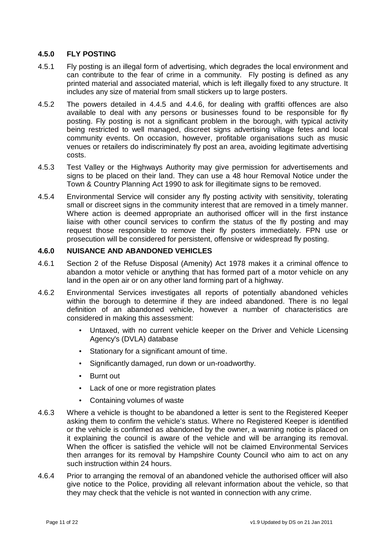#### **4.5.0 FLY POSTING**

- 4.5.1 Fly posting is an illegal form of advertising, which degrades the local environment and can contribute to the fear of crime in a community. Fly posting is defined as any printed material and associated material, which is left illegally fixed to any structure. It includes any size of material from small stickers up to large posters.
- 4.5.2 The powers detailed in 4.4.5 and 4.4.6, for dealing with graffiti offences are also available to deal with any persons or businesses found to be responsible for fly posting. Fly posting is not a significant problem in the borough, with typical activity being restricted to well managed, discreet signs advertising village fetes and local community events. On occasion, however, profitable organisations such as music venues or retailers do indiscriminately fly post an area, avoiding legitimate advertising costs.
- 4.5.3 Test Valley or the Highways Authority may give permission for advertisements and signs to be placed on their land. They can use a 48 hour Removal Notice under the Town & Country Planning Act 1990 to ask for illegitimate signs to be removed.
- 4.5.4 Environmental Service will consider any fly posting activity with sensitivity, tolerating small or discreet signs in the community interest that are removed in a timely manner. Where action is deemed appropriate an authorised officer will in the first instance liaise with other council services to confirm the status of the fly posting and may request those responsible to remove their fly posters immediately. FPN use or prosecution will be considered for persistent, offensive or widespread fly posting.

#### **4.6.0 NUISANCE AND ABANDONED VEHICLES**

- 4.6.1 Section 2 of the Refuse Disposal (Amenity) Act 1978 makes it a criminal offence to abandon a motor vehicle or anything that has formed part of a motor vehicle on any land in the open air or on any other land forming part of a highway.
- 4.6.2 Environmental Services investigates all reports of potentially abandoned vehicles within the borough to determine if they are indeed abandoned. There is no legal definition of an abandoned vehicle, however a number of characteristics are considered in making this assessment:
	- Untaxed, with no current vehicle keeper on the Driver and Vehicle Licensing Agency's (DVLA) database
	- Stationary for a significant amount of time.
	- Significantly damaged, run down or un-roadworthy.
	- Burnt out
	- Lack of one or more registration plates
	- Containing volumes of waste
- 4.6.3 Where a vehicle is thought to be abandoned a letter is sent to the Registered Keeper asking them to confirm the vehicle's status. Where no Registered Keeper is identified or the vehicle is confirmed as abandoned by the owner, a warning notice is placed on it explaining the council is aware of the vehicle and will be arranging its removal. When the officer is satisfied the vehicle will not be claimed Environmental Services then arranges for its removal by Hampshire County Council who aim to act on any such instruction within 24 hours.
- 4.6.4 Prior to arranging the removal of an abandoned vehicle the authorised officer will also give notice to the Police, providing all relevant information about the vehicle, so that they may check that the vehicle is not wanted in connection with any crime.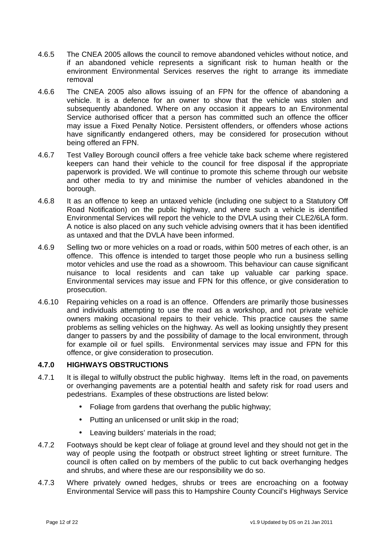- 4.6.5 The CNEA 2005 allows the council to remove abandoned vehicles without notice, and if an abandoned vehicle represents a significant risk to human health or the environment Environmental Services reserves the right to arrange its immediate removal
- 4.6.6 The CNEA 2005 also allows issuing of an FPN for the offence of abandoning a vehicle. It is a defence for an owner to show that the vehicle was stolen and subsequently abandoned. Where on any occasion it appears to an Environmental Service authorised officer that a person has committed such an offence the officer may issue a Fixed Penalty Notice. Persistent offenders, or offenders whose actions have significantly endangered others, may be considered for prosecution without being offered an FPN.
- 4.6.7 Test Valley Borough council offers a free vehicle take back scheme where registered keepers can hand their vehicle to the council for free disposal if the appropriate paperwork is provided. We will continue to promote this scheme through our website and other media to try and minimise the number of vehicles abandoned in the borough.
- 4.6.8 It as an offence to keep an untaxed vehicle (including one subject to a Statutory Off Road Notification) on the public highway, and where such a vehicle is identified Environmental Services will report the vehicle to the DVLA using their CLE2/6LA form. A notice is also placed on any such vehicle advising owners that it has been identified as untaxed and that the DVLA have been informed.
- 4.6.9 Selling two or more vehicles on a road or roads, within 500 metres of each other, is an offence. This offence is intended to target those people who run a business selling motor vehicles and use the road as a showroom. This behaviour can cause significant nuisance to local residents and can take up valuable car parking space. Environmental services may issue and FPN for this offence, or give consideration to prosecution.
- 4.6.10 Repairing vehicles on a road is an offence. Offenders are primarily those businesses and individuals attempting to use the road as a workshop, and not private vehicle owners making occasional repairs to their vehicle. This practice causes the same problems as selling vehicles on the highway. As well as looking unsightly they present danger to passers by and the possibility of damage to the local environment, through for example oil or fuel spills. Environmental services may issue and FPN for this offence, or give consideration to prosecution.

#### **4.7.0 HIGHWAYS OBSTRUCTIONS**

- 4.7.1 It is illegal to wilfully obstruct the public highway. Items left in the road, on pavements or overhanging pavements are a potential health and safety risk for road users and pedestrians. Examples of these obstructions are listed below:
	- Foliage from gardens that overhang the public highway;
	- Putting an unlicensed or unlit skip in the road:
	- Leaving builders' materials in the road;
- 4.7.2 Footways should be kept clear of foliage at ground level and they should not get in the way of people using the footpath or obstruct street lighting or street furniture. The council is often called on by members of the public to cut back overhanging hedges and shrubs, and where these are our responsibility we do so.
- 4.7.3 Where privately owned hedges, shrubs or trees are encroaching on a footway Environmental Service will pass this to Hampshire County Council's Highways Service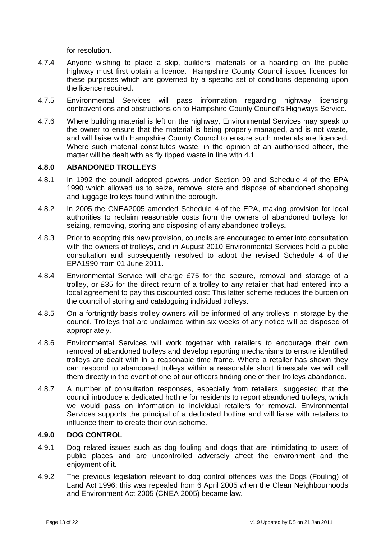for resolution.

- 4.7.4 Anyone wishing to place a skip, builders' materials or a hoarding on the public highway must first obtain a licence. Hampshire County Council issues licences for these purposes which are governed by a specific set of conditions depending upon the licence required.
- 4.7.5 Environmental Services will pass information regarding highway licensing contraventions and obstructions on to Hampshire County Council's Highways Service.
- 4.7.6 Where building material is left on the highway, Environmental Services may speak to the owner to ensure that the material is being properly managed, and is not waste, and will liaise with Hampshire County Council to ensure such materials are licenced. Where such material constitutes waste, in the opinion of an authorised officer, the matter will be dealt with as fly tipped waste in line with 4.1

#### **4.8.0 ABANDONED TROLLEYS**

- 4.8.1 In 1992 the council adopted powers under Section 99 and Schedule 4 of the EPA 1990 which allowed us to seize, remove, store and dispose of abandoned shopping and luggage trolleys found within the borough.
- 4.8.2 In 2005 the CNEA2005 amended Schedule 4 of the EPA, making provision for local authorities to reclaim reasonable costs from the owners of abandoned trolleys for seizing, removing, storing and disposing of any abandoned trolleys**.**
- 4.8.3 Prior to adopting this new provision, councils are encouraged to enter into consultation with the owners of trolleys, and in August 2010 Environmental Services held a public consultation and subsequently resolved to adopt the revised Schedule 4 of the EPA1990 from 01 June 2011.
- 4.8.4 Environmental Service will charge £75 for the seizure, removal and storage of a trolley, or £35 for the direct return of a trolley to any retailer that had entered into a local agreement to pay this discounted cost: This latter scheme reduces the burden on the council of storing and cataloguing individual trolleys.
- 4.8.5 On a fortnightly basis trolley owners will be informed of any trolleys in storage by the council. Trolleys that are unclaimed within six weeks of any notice will be disposed of appropriately.
- 4.8.6 Environmental Services will work together with retailers to encourage their own removal of abandoned trolleys and develop reporting mechanisms to ensure identified trolleys are dealt with in a reasonable time frame. Where a retailer has shown they can respond to abandoned trolleys within a reasonable short timescale we will call them directly in the event of one of our officers finding one of their trolleys abandoned.
- 4.8.7 A number of consultation responses, especially from retailers, suggested that the council introduce a dedicated hotline for residents to report abandoned trolleys, which we would pass on information to individual retailers for removal. Environmental Services supports the principal of a dedicated hotline and will liaise with retailers to influence them to create their own scheme.

#### **4.9.0 DOG CONTROL**

- 4.9.1 Dog related issues such as dog fouling and dogs that are intimidating to users of public places and are uncontrolled adversely affect the environment and the enjoyment of it.
- 4.9.2 The previous legislation relevant to dog control offences was the Dogs (Fouling) of Land Act 1996; this was repealed from 6 April 2005 when the Clean Neighbourhoods and Environment Act 2005 (CNEA 2005) became law.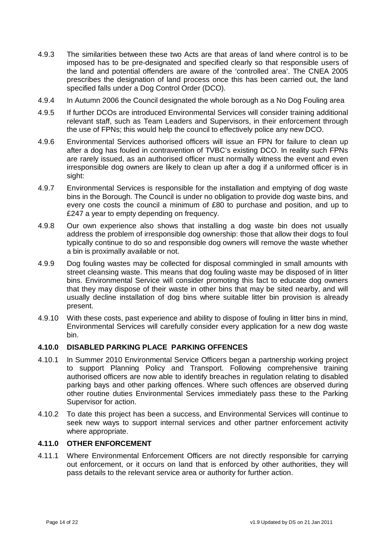- 4.9.3 The similarities between these two Acts are that areas of land where control is to be imposed has to be pre-designated and specified clearly so that responsible users of the land and potential offenders are aware of the 'controlled area'. The CNEA 2005 prescribes the designation of land process once this has been carried out, the land specified falls under a Dog Control Order (DCO).
- 4.9.4 In Autumn 2006 the Council designated the whole borough as a No Dog Fouling area
- 4.9.5 If further DCOs are introduced Environmental Services will consider training additional relevant staff, such as Team Leaders and Supervisors, in their enforcement through the use of FPNs; this would help the council to effectively police any new DCO.
- 4.9.6 Environmental Services authorised officers will issue an FPN for failure to clean up after a dog has fouled in contravention of TVBC's existing DCO. In reality such FPNs are rarely issued, as an authorised officer must normally witness the event and even irresponsible dog owners are likely to clean up after a dog if a uniformed officer is in sight:
- 4.9.7 Environmental Services is responsible for the installation and emptying of dog waste bins in the Borough. The Council is under no obligation to provide dog waste bins, and every one costs the council a minimum of £80 to purchase and position, and up to £247 a year to empty depending on frequency.
- 4.9.8 Our own experience also shows that installing a dog waste bin does not usually address the problem of irresponsible dog ownership: those that allow their dogs to foul typically continue to do so and responsible dog owners will remove the waste whether a bin is proximally available or not.
- 4.9.9 Dog fouling wastes may be collected for disposal commingled in small amounts with street cleansing waste. This means that dog fouling waste may be disposed of in litter bins. Environmental Service will consider promoting this fact to educate dog owners that they may dispose of their waste in other bins that may be sited nearby, and will usually decline installation of dog bins where suitable litter bin provision is already present.
- 4.9.10 With these costs, past experience and ability to dispose of fouling in litter bins in mind, Environmental Services will carefully consider every application for a new dog waste bin.

#### **4.10.0 DISABLED PARKING PLACE PARKING OFFENCES**

- 4.10.1 In Summer 2010 Environmental Service Officers began a partnership working project to support Planning Policy and Transport. Following comprehensive training authorised officers are now able to identify breaches in regulation relating to disabled parking bays and other parking offences. Where such offences are observed during other routine duties Environmental Services immediately pass these to the Parking Supervisor for action.
- 4.10.2 To date this project has been a success, and Environmental Services will continue to seek new ways to support internal services and other partner enforcement activity where appropriate.

#### **4.11.0 OTHER ENFORCEMENT**

4.11.1 Where Environmental Enforcement Officers are not directly responsible for carrying out enforcement, or it occurs on land that is enforced by other authorities, they will pass details to the relevant service area or authority for further action.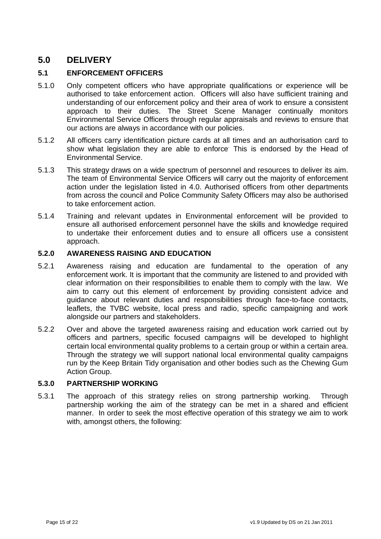# **5.0 DELIVERY**

#### **5.1 ENFORCEMENT OFFICERS**

- 5.1.0 Only competent officers who have appropriate qualifications or experience will be authorised to take enforcement action. Officers will also have sufficient training and understanding of our enforcement policy and their area of work to ensure a consistent approach to their duties. The Street Scene Manager continually monitors Environmental Service Officers through regular appraisals and reviews to ensure that our actions are always in accordance with our policies.
- 5.1.2 All officers carry identification picture cards at all times and an authorisation card to show what legislation they are able to enforce. This is endorsed by the Head of Environmental Service.
- 5.1.3 This strategy draws on a wide spectrum of personnel and resources to deliver its aim. The team of Environmental Service Officers will carry out the majority of enforcement action under the legislation listed in 4.0. Authorised officers from other departments from across the council and Police Community Safety Officers may also be authorised to take enforcement action.
- 5.1.4 Training and relevant updates in Environmental enforcement will be provided to ensure all authorised enforcement personnel have the skills and knowledge required to undertake their enforcement duties and to ensure all officers use a consistent approach.

#### **5.2.0 AWARENESS RAISING AND EDUCATION**

- 5.2.1 Awareness raising and education are fundamental to the operation of any enforcement work. It is important that the community are listened to and provided with clear information on their responsibilities to enable them to comply with the law. We aim to carry out this element of enforcement by providing consistent advice and guidance about relevant duties and responsibilities through face-to-face contacts, leaflets, the TVBC website, local press and radio, specific campaigning and work alongside our partners and stakeholders.
- 5.2.2 Over and above the targeted awareness raising and education work carried out by officers and partners, specific focused campaigns will be developed to highlight certain local environmental quality problems to a certain group or within a certain area. Through the strategy we will support national local environmental quality campaigns run by the Keep Britain Tidy organisation and other bodies such as the Chewing Gum Action Group.

#### **5.3.0 PARTNERSHIP WORKING**

5.3.1 The approach of this strategy relies on strong partnership working. Through partnership working the aim of the strategy can be met in a shared and efficient manner. In order to seek the most effective operation of this strategy we aim to work with, amongst others, the following: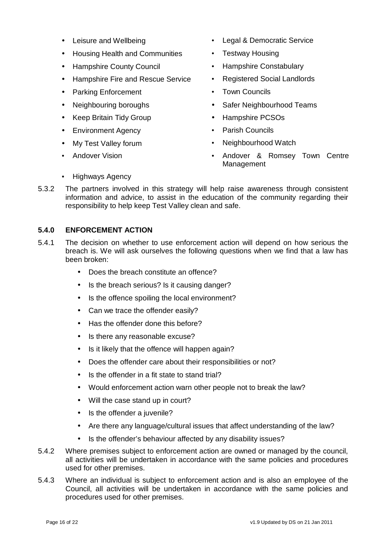- 
- Housing Health and Communities Testway Housing
- Hampshire County Council Hampshire Constabulary
- Hampshire Fire and Rescue Service Registered Social Landlords
- Parking Enforcement Town Councils
- 
- Keep Britain Tidy Group Hampshire PCSOs
- Environment Agency  **Parish Councils**
- 
- 
- Leisure and Wellbeing  **Legal & Democratic Service** 
	-
	-
	-
	-
- Neighbouring boroughs Safer Neighbourhood Teams
	-
	-
	- My Test Valley forum **•** Neighbourhood Watch
- Andover Vision **•** Andover & Romsey Town Centre Management
- Highways Agency
- 5.3.2 The partners involved in this strategy will help raise awareness through consistent information and advice, to assist in the education of the community regarding their responsibility to help keep Test Valley clean and safe.

#### **5.4.0 ENFORCEMENT ACTION**

- 5.4.1 The decision on whether to use enforcement action will depend on how serious the breach is. We will ask ourselves the following questions when we find that a law has been broken:
	- Does the breach constitute an offence?
	- Is the breach serious? Is it causing danger?
	- Is the offence spoiling the local environment?
	- Can we trace the offender easily?
	- Has the offender done this before?
	- Is there any reasonable excuse?
	- Is it likely that the offence will happen again?
	- Does the offender care about their responsibilities or not?
	- Is the offender in a fit state to stand trial?
	- Would enforcement action warn other people not to break the law?
	- Will the case stand up in court?
	- Is the offender a juvenile?
	- Are there any language/cultural issues that affect understanding of the law?
	- Is the offender's behaviour affected by any disability issues?
- 5.4.2 Where premises subject to enforcement action are owned or managed by the council, all activities will be undertaken in accordance with the same policies and procedures used for other premises.
- 5.4.3 Where an individual is subject to enforcement action and is also an employee of the Council, all activities will be undertaken in accordance with the same policies and procedures used for other premises.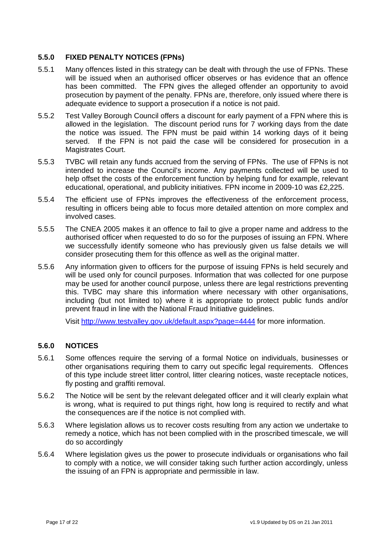#### **5.5.0 FIXED PENALTY NOTICES (FPNs)**

- 5.5.1 Many offences listed in this strategy can be dealt with through the use of FPNs. These will be issued when an authorised officer observes or has evidence that an offence has been committed. The FPN gives the alleged offender an opportunity to avoid prosecution by payment of the penalty. FPNs are, therefore, only issued where there is adequate evidence to support a prosecution if a notice is not paid.
- 5.5.2 Test Valley Borough Council offers a discount for early payment of a FPN where this is allowed in the legislation. The discount period runs for 7 working days from the date the notice was issued. The FPN must be paid within 14 working days of it being served. If the FPN is not paid the case will be considered for prosecution in a Magistrates Court.
- 5.5.3 TVBC will retain any funds accrued from the serving of FPNs. The use of FPNs is not intended to increase the Council's income. Any payments collected will be used to help offset the costs of the enforcement function by helping fund for example, relevant educational, operational, and publicity initiatives. FPN income in 2009-10 was £2,225.
- 5.5.4 The efficient use of FPNs improves the effectiveness of the enforcement process, resulting in officers being able to focus more detailed attention on more complex and involved cases.
- 5.5.5 The CNEA 2005 makes it an offence to fail to give a proper name and address to the authorised officer when requested to do so for the purposes of issuing an FPN. Where we successfully identify someone who has previously given us false details we will consider prosecuting them for this offence as well as the original matter.
- 5.5.6 Any information given to officers for the purpose of issuing FPNs is held securely and will be used only for council purposes. Information that was collected for one purpose may be used for another council purpose, unless there are legal restrictions preventing this. TVBC may share this information where necessary with other organisations, including (but not limited to) where it is appropriate to protect public funds and/or prevent fraud in line with the National Fraud Initiative guidelines.

Visit http://www.testvalley.gov.uk/default.aspx?page=4444 for more information.

#### **5.6.0 NOTICES**

- 5.6.1 Some offences require the serving of a formal Notice on individuals, businesses or other organisations requiring them to carry out specific legal requirements. Offences of this type include street litter control, litter clearing notices, waste receptacle notices, fly posting and graffiti removal.
- 5.6.2 The Notice will be sent by the relevant delegated officer and it will clearly explain what is wrong, what is required to put things right, how long is required to rectify and what the consequences are if the notice is not complied with.
- 5.6.3 Where legislation allows us to recover costs resulting from any action we undertake to remedy a notice, which has not been complied with in the proscribed timescale, we will do so accordingly
- 5.6.4 Where legislation gives us the power to prosecute individuals or organisations who fail to comply with a notice, we will consider taking such further action accordingly, unless the issuing of an FPN is appropriate and permissible in law.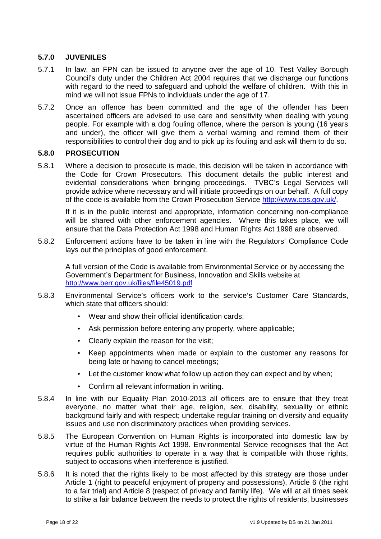#### **5.7.0 JUVENILES**

- 5.7.1 In law, an FPN can be issued to anyone over the age of 10. Test Valley Borough Council's duty under the Children Act 2004 requires that we discharge our functions with regard to the need to safeguard and uphold the welfare of children. With this in mind we will not issue FPNs to individuals under the age of 17.
- 5.7.2 Once an offence has been committed and the age of the offender has been ascertained officers are advised to use care and sensitivity when dealing with young people. For example with a dog fouling offence, where the person is young (16 years and under), the officer will give them a verbal warning and remind them of their responsibilities to control their dog and to pick up its fouling and ask will them to do so.

#### **5.8.0 PROSECUTION**

5.8.1 Where a decision to prosecute is made, this decision will be taken in accordance with the Code for Crown Prosecutors. This document details the public interest and evidential considerations when bringing proceedings. TVBC's Legal Services will provide advice where necessary and will initiate proceedings on our behalf. A full copy of the code is available from the Crown Prosecution Service http://www.cps.gov.uk/.

If it is in the public interest and appropriate, information concerning non-compliance will be shared with other enforcement agencies. Where this takes place, we will ensure that the Data Protection Act 1998 and Human Rights Act 1998 are observed.

5.8.2 Enforcement actions have to be taken in line with the Regulators' Compliance Code lays out the principles of good enforcement.

A full version of the Code is available from Environmental Service or by accessing the Government's Department for Business, Innovation and Skills website at http://www.berr.gov.uk/files/file45019.pdf

- 5.8.3 Environmental Service's officers work to the service's Customer Care Standards, which state that officers should:
	- Wear and show their official identification cards;
	- Ask permission before entering any property, where applicable;
	- Clearly explain the reason for the visit;
	- Keep appointments when made or explain to the customer any reasons for being late or having to cancel meetings;
	- Let the customer know what follow up action they can expect and by when;
	- Confirm all relevant information in writing.
- 5.8.4 In line with our Equality Plan 2010-2013 all officers are to ensure that they treat everyone, no matter what their age, religion, sex, disability, sexuality or ethnic background fairly and with respect; undertake regular training on diversity and equality issues and use non discriminatory practices when providing services.
- 5.8.5 The European Convention on Human Rights is incorporated into domestic law by virtue of the Human Rights Act 1998. Environmental Service recognises that the Act requires public authorities to operate in a way that is compatible with those rights, subject to occasions when interference is justified.
- 5.8.6 It is noted that the rights likely to be most affected by this strategy are those under Article 1 (right to peaceful enjoyment of property and possessions), Article 6 (the right to a fair trial) and Article 8 (respect of privacy and family life). We will at all times seek to strike a fair balance between the needs to protect the rights of residents, businesses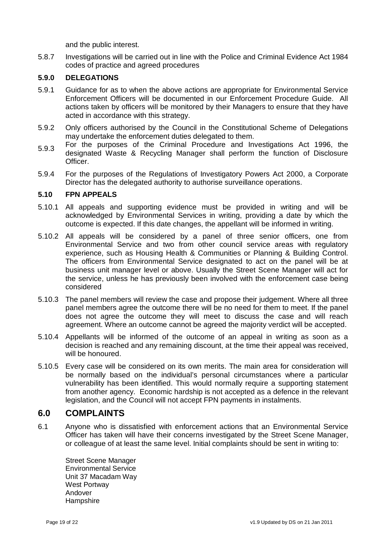and the public interest.

5.8.7 Investigations will be carried out in line with the Police and Criminal Evidence Act 1984 codes of practice and agreed procedures

#### **5.9.0 DELEGATIONS**

- 5.9.1 Guidance for as to when the above actions are appropriate for Environmental Service Enforcement Officers will be documented in our Enforcement Procedure Guide. All actions taken by officers will be monitored by their Managers to ensure that they have acted in accordance with this strategy.
- 5.9.2 Only officers authorised by the Council in the Constitutional Scheme of Delegations may undertake the enforcement duties delegated to them.
- 5.9.3 For the purposes of the Criminal Procedure and Investigations Act 1996, the designated Waste & Recycling Manager shall perform the function of Disclosure Officer.
- 5.9.4 For the purposes of the Regulations of Investigatory Powers Act 2000, a Corporate Director has the delegated authority to authorise surveillance operations.

#### **5.10 FPN APPEALS**

- 5.10.1 All appeals and supporting evidence must be provided in writing and will be acknowledged by Environmental Services in writing, providing a date by which the outcome is expected. If this date changes, the appellant will be informed in writing.
- 5.10.2 All appeals will be considered by a panel of three senior officers, one from Environmental Service and two from other council service areas with regulatory experience, such as Housing Health & Communities or Planning & Building Control. The officers from Environmental Service designated to act on the panel will be at business unit manager level or above. Usually the Street Scene Manager will act for the service, unless he has previously been involved with the enforcement case being considered
- 5.10.3 The panel members will review the case and propose their judgement. Where all three panel members agree the outcome there will be no need for them to meet. If the panel does not agree the outcome they will meet to discuss the case and will reach agreement. Where an outcome cannot be agreed the majority verdict will be accepted.
- 5.10.4 Appellants will be informed of the outcome of an appeal in writing as soon as a decision is reached and any remaining discount, at the time their appeal was received, will be honoured.
- 5.10.5 Every case will be considered on its own merits. The main area for consideration will be normally based on the individual's personal circumstances where a particular vulnerability has been identified. This would normally require a supporting statement from another agency. Economic hardship is not accepted as a defence in the relevant legislation, and the Council will not accept FPN payments in instalments.

#### **6.0 COMPLAINTS**

6.1 Anyone who is dissatisfied with enforcement actions that an Environmental Service Officer has taken will have their concerns investigated by the Street Scene Manager, or colleague of at least the same level. Initial complaints should be sent in writing to:

Street Scene Manager Environmental Service Unit 37 Macadam Way West Portway Andover **Hampshire**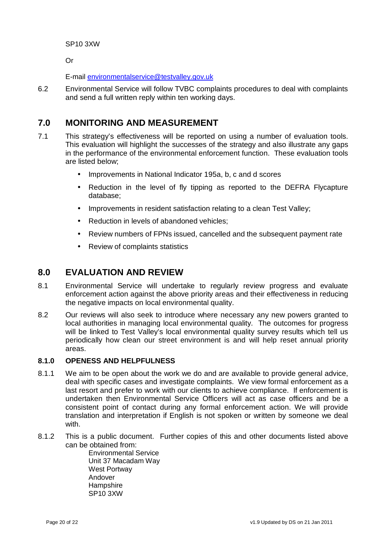SP10 3XW

Or

E-mail environmentalservice@testvalley.gov.uk

6.2 Environmental Service will follow TVBC complaints procedures to deal with complaints and send a full written reply within ten working days.

### **7.0 MONITORING AND MEASUREMENT**

- 7.1 This strategy's effectiveness will be reported on using a number of evaluation tools. This evaluation will highlight the successes of the strategy and also illustrate any gaps in the performance of the environmental enforcement function. These evaluation tools are listed below;
	- Improvements in National Indicator 195a, b, c and d scores
	- Reduction in the level of fly tipping as reported to the DEFRA Flycapture database;
	- Improvements in resident satisfaction relating to a clean Test Valley;
	- Reduction in levels of abandoned vehicles:
	- Review numbers of FPNs issued, cancelled and the subsequent payment rate
	- Review of complaints statistics

#### **8.0 EVALUATION AND REVIEW**

- 8.1 Environmental Service will undertake to regularly review progress and evaluate enforcement action against the above priority areas and their effectiveness in reducing the negative impacts on local environmental quality.
- 8.2 Our reviews will also seek to introduce where necessary any new powers granted to local authorities in managing local environmental quality. The outcomes for progress will be linked to Test Valley's local environmental quality survey results which tell us periodically how clean our street environment is and will help reset annual priority areas.

#### **8.1.0 OPENESS AND HELPFULNESS**

- 8.1.1 We aim to be open about the work we do and are available to provide general advice, deal with specific cases and investigate complaints. We view formal enforcement as a last resort and prefer to work with our clients to achieve compliance. If enforcement is undertaken then Environmental Service Officers will act as case officers and be a consistent point of contact during any formal enforcement action. We will provide translation and interpretation if English is not spoken or written by someone we deal with.
- 8.1.2 This is a public document. Further copies of this and other documents listed above can be obtained from:

 Environmental Service Unit 37 Macadam Way West Portway Andover Hampshire SP10 3XW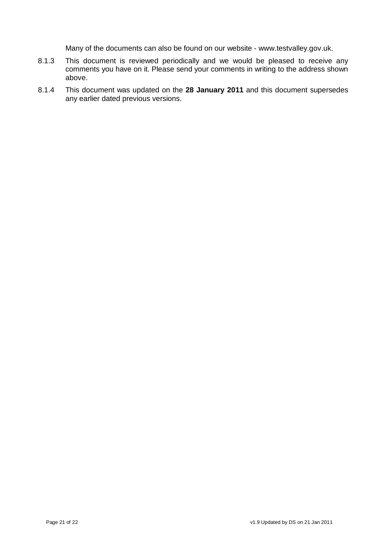Many of the documents can also be found on our website - www.testvalley.gov.uk.

- 8.1.3 This document is reviewed periodically and we would be pleased to receive any comments you have on it. Please send your comments in writing to the address shown above.
- 8.1.4 This document was updated on the **28 January 2011** and this document supersedes any earlier dated previous versions.